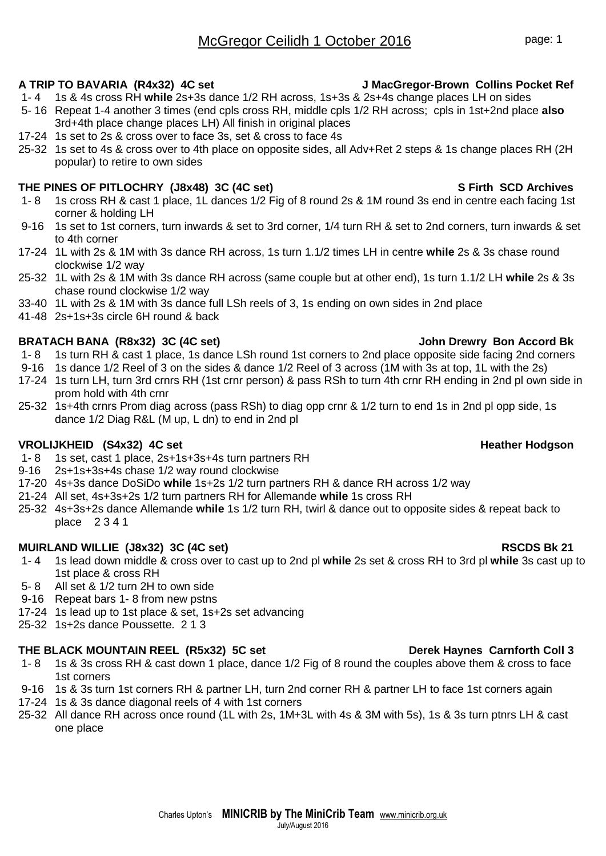# **A TRIP TO BAVARIA (R4x32) 4C set J MacGregor-Brown Collins Pocket Ref**

- 1- 4 1s & 4s cross RH **while** 2s+3s dance 1/2 RH across, 1s+3s & 2s+4s change places LH on sides
- 5- 16 Repeat 1-4 another 3 times (end cpls cross RH, middle cpls 1/2 RH across; cpls in 1st+2nd place **also** 3rd+4th place change places LH) All finish in original places
- 17-24 1s set to 2s & cross over to face 3s, set & cross to face 4s
- 25-32 1s set to 4s & cross over to 4th place on opposite sides, all Adv+Ret 2 steps & 1s change places RH (2H popular) to retire to own sides

# **THE PINES OF PITLOCHRY (J8x48) 3C (4C set) S Firth SCD Archives**

- 1- 8 1s cross RH & cast 1 place, 1L dances 1/2 Fig of 8 round 2s & 1M round 3s end in centre each facing 1st corner & holding LH
- 9-16 1s set to 1st corners, turn inwards & set to 3rd corner, 1/4 turn RH & set to 2nd corners, turn inwards & set to 4th corner
- 17-24 1L with 2s & 1M with 3s dance RH across, 1s turn 1.1/2 times LH in centre **while** 2s & 3s chase round clockwise 1/2 way
- 25-32 1L with 2s & 1M with 3s dance RH across (same couple but at other end), 1s turn 1.1/2 LH **while** 2s & 3s chase round clockwise 1/2 way
- 33-40 1L with 2s & 1M with 3s dance full LSh reels of 3, 1s ending on own sides in 2nd place
- 41-48 2s+1s+3s circle 6H round & back

# **BRATACH BANA (R8x32) 3C (4C set) John Drewry Bon Accord Bk**

- 1- 8 1s turn RH & cast 1 place, 1s dance LSh round 1st corners to 2nd place opposite side facing 2nd corners
- 9-16 1s dance 1/2 Reel of 3 on the sides & dance 1/2 Reel of 3 across (1M with 3s at top, 1L with the 2s)
- 17-24 1s turn LH, turn 3rd crnrs RH (1st crnr person) & pass RSh to turn 4th crnr RH ending in 2nd pl own side in prom hold with 4th crnr
- 25-32 1s+4th crnrs Prom diag across (pass RSh) to diag opp crnr & 1/2 turn to end 1s in 2nd pl opp side, 1s dance 1/2 Diag R&L (M up, L dn) to end in 2nd pl

# **VROLIJKHEID (S4x32) 4C set Heather Hodgson Heather Hodgson**

- 1- 8 1s set, cast 1 place, 2s+1s+3s+4s turn partners RH
- 9-16 2s+1s+3s+4s chase 1/2 way round clockwise
- 17-20 4s+3s dance DoSiDo **while** 1s+2s 1/2 turn partners RH & dance RH across 1/2 way
- 21-24 All set, 4s+3s+2s 1/2 turn partners RH for Allemande **while** 1s cross RH
- 25-32 4s+3s+2s dance Allemande **while** 1s 1/2 turn RH, twirl & dance out to opposite sides & repeat back to place 2 3 4 1

### **MUIRLAND WILLIE (J8x32) 3C (4C set) RSCDS Bk 21**

- 1- 4 1s lead down middle & cross over to cast up to 2nd pl **while** 2s set & cross RH to 3rd pl **while** 3s cast up to 1st place & cross RH
- 5- 8 All set & 1/2 turn 2H to own side
- 9-16 Repeat bars 1- 8 from new pstns
- 17-24 1s lead up to 1st place & set, 1s+2s set advancing
- 25-32 1s+2s dance Poussette. 2 1 3

# **THE BLACK MOUNTAIN REEL (R5x32) 5C set Derek Haynes Carnforth Coll 3**

- 1- 8 1s & 3s cross RH & cast down 1 place, dance 1/2 Fig of 8 round the couples above them & cross to face 1st corners
- 9-16 1s & 3s turn 1st corners RH & partner LH, turn 2nd corner RH & partner LH to face 1st corners again
- 17-24 1s & 3s dance diagonal reels of 4 with 1st corners
- 25-32 All dance RH across once round (1L with 2s, 1M+3L with 4s & 3M with 5s), 1s & 3s turn ptnrs LH & cast one place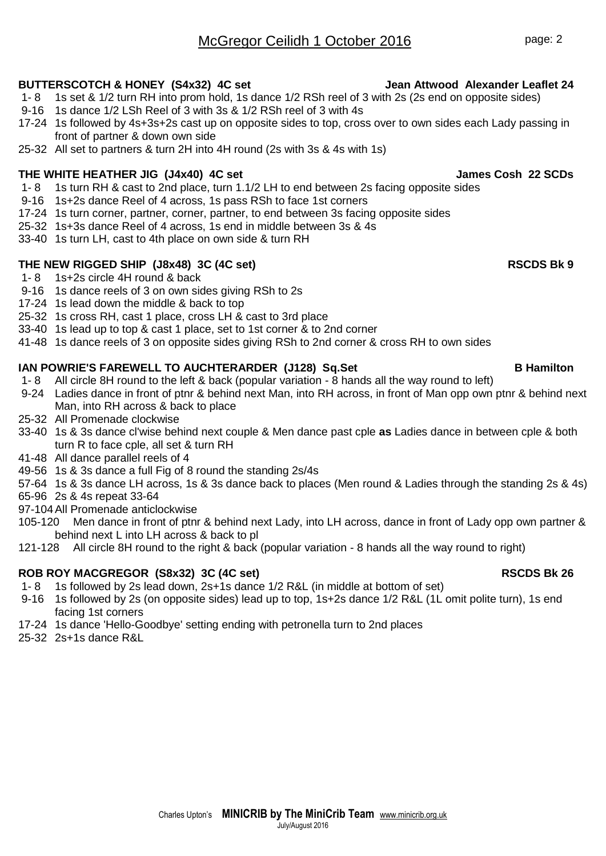# McGregor Ceilidh 1 October 2016 **page: 2**

# **BUTTERSCOTCH & HONEY (S4x32) 4C set Jean Attwood Alexander Leaflet 24**

- 1- 8 1s set & 1/2 turn RH into prom hold, 1s dance 1/2 RSh reel of 3 with 2s (2s end on opposite sides)
- 9-16 1s dance 1/2 LSh Reel of 3 with 3s & 1/2 RSh reel of 3 with 4s
- 17-24 1s followed by 4s+3s+2s cast up on opposite sides to top, cross over to own sides each Lady passing in front of partner & down own side
- 25-32 All set to partners & turn 2H into 4H round (2s with 3s & 4s with 1s)

# **THE WHITE HEATHER JIG (J4x40) 4C set James Cosh 22 SCDs**

- 1- 8 1s turn RH & cast to 2nd place, turn 1.1/2 LH to end between 2s facing opposite sides
- 9-16 1s+2s dance Reel of 4 across, 1s pass RSh to face 1st corners
- 17-24 1s turn corner, partner, corner, partner, to end between 3s facing opposite sides
- 25-32 1s+3s dance Reel of 4 across, 1s end in middle between 3s & 4s
- 33-40 1s turn LH, cast to 4th place on own side & turn RH

# **THE NEW RIGGED SHIP (J8x48) 3C (4C set) RSCDS Bk 9**

- 1- 8 1s+2s circle 4H round & back
- 9-16 1s dance reels of 3 on own sides giving RSh to 2s
- 17-24 1s lead down the middle & back to top
- 25-32 1s cross RH, cast 1 place, cross LH & cast to 3rd place
- 33-40 1s lead up to top & cast 1 place, set to 1st corner & to 2nd corner
- 41-48 1s dance reels of 3 on opposite sides giving RSh to 2nd corner & cross RH to own sides

# **IAN POWRIE'S FAREWELL TO AUCHTERARDER (J128) Sq.Set B Hamilton**

- 1- 8 All circle 8H round to the left & back (popular variation 8 hands all the way round to left)
- 9-24 Ladies dance in front of ptnr & behind next Man, into RH across, in front of Man opp own ptnr & behind next Man, into RH across & back to place
- 25-32 All Promenade clockwise
- 33-40 1s & 3s dance cl'wise behind next couple & Men dance past cple **as** Ladies dance in between cple & both turn R to face cple, all set & turn RH
- 41-48 All dance parallel reels of 4
- 49-56 1s & 3s dance a full Fig of 8 round the standing 2s/4s
- 57-64 1s & 3s dance LH across, 1s & 3s dance back to places (Men round & Ladies through the standing 2s & 4s)
- 65-96 2s & 4s repeat 33-64
- 97-104All Promenade anticlockwise
- 105-120 Men dance in front of ptnr & behind next Lady, into LH across, dance in front of Lady opp own partner & behind next L into LH across & back to pl
- 121-128 All circle 8H round to the right & back (popular variation 8 hands all the way round to right)

# ROB ROY MACGREGOR (S8x32) 3C (4C set) **RSCDS Bk 26** RSCDS Bk 26

- 1- 8 1s followed by 2s lead down, 2s+1s dance 1/2 R&L (in middle at bottom of set)
- 9-16 1s followed by 2s (on opposite sides) lead up to top, 1s+2s dance 1/2 R&L (1L omit polite turn), 1s end facing 1st corners
- 17-24 1s dance 'Hello-Goodbye' setting ending with petronella turn to 2nd places
- 25-32 2s+1s dance R&L